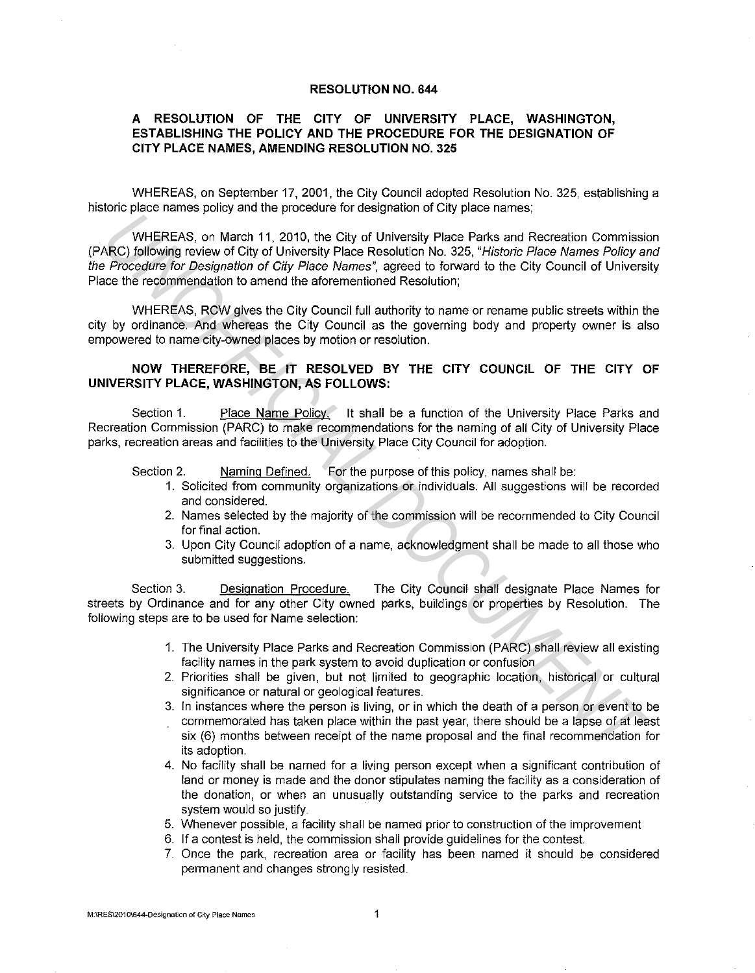## **RESOLUTION NO. 644**

## **A RESOLUTION OF THE CITY OF UNIVERSITY PLACE, WASHINGTON, ESTABLISHING THE POLICY AND THE PROCEDURE FOR THE DESIGNATION OF CITY PLACE NAMES, AMENDING RESOLUTION NO. 325**

WHEREAS, on September 17, 2001, the City Council adopted Resolution No. 325, establishing a historic place names policy and the procedure for designation of City place names;

WHEREAS, on March 11, 2010, the City of University Place Parks and Recreation Commission (PARC) following review of City of University Place Resolution No. 325, "Historic Place Names Policy and the Procedure for Designation of City Place Names", agreed to forward to the City Council of University Place the recommendation to amend the aforementioned Resolution; WHEREAS, on March 11, 2010, the City of University Place Parks and Recretion Commission<br>RC) following review of City of University Place Resolution No. 325, "*Historic Place Names Polloy a*<br>RC) following review of City of

WHEREAS, RCW gives the City Council full authority to name or rename public streets within the city by ordinance. And whereas the City Council as the governing body and property owner is also empowered to name city-owned places by motion or resolution.

## **NOW THEREFORE, BE IT RESOLVED BY THE CITY COUNCIL OF THE CITY OF UNIVERSITY PLACE, WASHINGTON, AS FOLLOWS:**

Section 1. Place Name Policy. It shall be a function of the University Place Parks and Recreation Commission (PARC) to make recommendations for the naming of all City of University Place parks, recreation areas and facilities to the University Place City Council for adoption.

Section 2. Naming Defined. For the purpose of this policy, names shall be:

- 1. Solicited from community organizations or individuals. All suggestions will be recorded and considered.
- 2. Names selected by the majority of the commission will be recommended to City Council for final action.
- 3. Upon City Council adoption of a name, acknowledgment shall be made to all those who submitted suggestions.

Section 3. Designation Procedure. The City Council shall designate Place Names for streets by Ordinance and for any other City owned parks, buildings or properties by Resolution. The following steps are to be used for Name selection:

- 1. The University Place Parks and Recreation Commission (PARC) shall review all existing facility names in the park system to avoid duplication or confusion
- 2. Priorities shall be given, but not limited to geographic location, historical or cultural significance or natural or geological features.
- 3. In instances where the person is living, or in which the death of a person or event to be commemorated has taken place within the past year, there should be a lapse of at least six (6) months between receipt of the name proposal and the final recommendation for its adoption.
- 4. No facility shall be named for a living person except when a significant contribution of land or money is made and the donor stipulates naming the facility as a consideration of the donation, or when an unusually outstanding service to the parks and recreation system would so justify.
- 5. Whenever possible, a facility shall be named prior to construction of the improvement
- 6. If a contest is held, the commission shall provide guidelines for the contest.
- 7. Once the park, recreation area or facility has been named it should be considered permanent and changes strongly resisted.